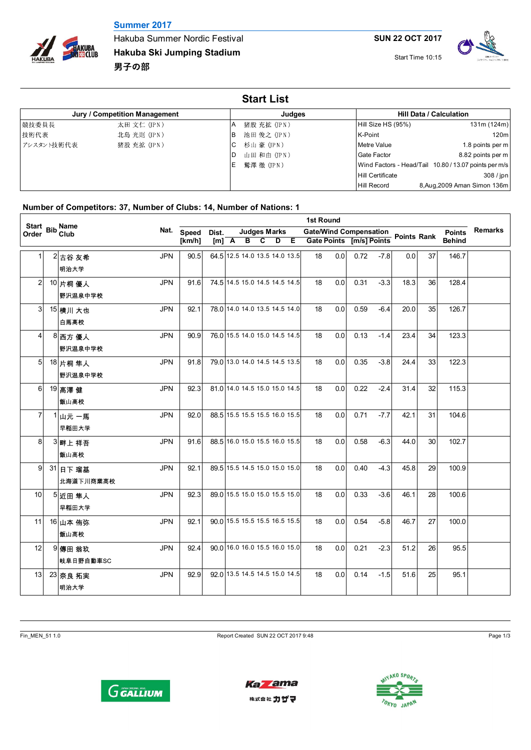## **Summer 2017**



Hakuba Summer Nordic Festival **Hakuba Ski Jumping Stadium** 男子の部

Start Time 10:15



| <b>Start List</b> |                               |               |             |                         |                                                       |  |  |  |  |  |  |  |  |
|-------------------|-------------------------------|---------------|-------------|-------------------------|-------------------------------------------------------|--|--|--|--|--|--|--|--|
|                   | Jury / Competition Management |               | Judges      |                         | <b>Hill Data / Calculation</b>                        |  |  |  |  |  |  |  |  |
| 競技委員長             | 太田 文仁 (JPN)                   |               | 猪股 充拡 (JPN) | Hill Size HS (95%)      | 131m (124m)                                           |  |  |  |  |  |  |  |  |
| 技術代表              | 北島 光則 (JPN)                   | ΙB            | 池田 俊之 (JPN) | K-Point                 | 120m                                                  |  |  |  |  |  |  |  |  |
| フシスタント技術代表        | 猪股 充拡 (JPN)                   | 杉山 豪(JPN)     |             | Metre Value             | 1.8 points per m                                      |  |  |  |  |  |  |  |  |
|                   |                               | ID            | 山田 和由 (JPN) | Gate Factor             | 8.82 points per m                                     |  |  |  |  |  |  |  |  |
|                   |                               | ⅠE 鷲澤 徹 (JPN) |             |                         | Wind Factors - Head/Tail 10.80 / 13.07 points per m/s |  |  |  |  |  |  |  |  |
|                   |                               |               |             | <b>Hill Certificate</b> | 308/ipn                                               |  |  |  |  |  |  |  |  |
|                   |                               |               |             | <b>Hill Record</b>      | 8, Aug, 2009 Aman Simon 136m                          |  |  |  |  |  |  |  |  |

## **Number of Competitors: 37, Number of Clubs: 14, Number of Nations: 1**

|       | <b>1st Round</b>                 |            |            |                               |  |  |                     |  |  |                                                                |     |      |        |      |    |               |                |
|-------|----------------------------------|------------|------------|-------------------------------|--|--|---------------------|--|--|----------------------------------------------------------------|-----|------|--------|------|----|---------------|----------------|
| Order | Start Bib Name<br>Order Bib Club |            | Nat. Speed | Dist.                         |  |  | <b>Judges Marks</b> |  |  | Gate/Wind Compensation<br>Gate Points [m/s] Points Points Rank |     |      |        |      |    | <b>Points</b> | <b>Remarks</b> |
|       |                                  |            | [km/h]     |                               |  |  | $[m]$ A B C D E     |  |  |                                                                |     |      |        |      |    | <b>Behind</b> |                |
| 1     | 2 古谷 友希                          | <b>JPN</b> | 90.5       | 64 5 12.5 14.0 13.5 14.0 13.5 |  |  |                     |  |  | 18<br>0.0                                                      |     | 0.72 | $-7.8$ | 0.0  | 37 | 146.7         |                |
|       | 明治大学                             |            |            |                               |  |  |                     |  |  |                                                                |     |      |        |      |    |               |                |
| 2     | 10 片桐 優人                         | <b>JPN</b> | 91.6       | 74.5 14.5 15.0 14.5 14.5 14.5 |  |  |                     |  |  | 0.0<br>18                                                      |     | 0.31 | $-3.3$ | 18.3 | 36 | 128.4         |                |
|       | 野沢温泉中学校                          |            |            |                               |  |  |                     |  |  |                                                                |     |      |        |      |    |               |                |
| 3     | 15 横川 大也                         | <b>JPN</b> | 92.1       | 78.0 14.0 14.0 13.5 14.5 14.0 |  |  |                     |  |  | 18<br>0.0                                                      |     | 0.59 | $-6.4$ | 20.0 | 35 | 126.7         |                |
|       | 白馬高校                             |            |            |                               |  |  |                     |  |  |                                                                |     |      |        |      |    |               |                |
| 4     | 8 西方 優人                          | <b>JPN</b> | 90.9       | 76.0 15.5 14.0 15.0 14.5 14.5 |  |  |                     |  |  | 18<br>0.0                                                      |     | 0.13 | $-1.4$ | 23.4 | 34 | 123.3         |                |
|       | 野沢温泉中学校                          |            |            |                               |  |  |                     |  |  |                                                                |     |      |        |      |    |               |                |
| 5     | 18 片桐 隼人                         | <b>JPN</b> | 91.8       | 79.0 13.0 14.0 14.5 14.5 13.5 |  |  |                     |  |  | 18<br>0.0                                                      |     | 0.35 | $-3.8$ | 24.4 | 33 | 122.3         |                |
|       | 野沢温泉中学校                          |            |            |                               |  |  |                     |  |  |                                                                |     |      |        |      |    |               |                |
| 6     | 19 高澤健                           | <b>JPN</b> | 92.3       | 81.0 14.0 14.5 15.0 15.0 14.5 |  |  |                     |  |  | 18<br>0.0                                                      |     | 0.22 | $-2.4$ | 31.4 | 32 | 115.3         |                |
|       | 飯山高校                             |            |            |                               |  |  |                     |  |  |                                                                |     |      |        |      |    |               |                |
| 7     | 1山元 一馬                           | <b>JPN</b> | 92.0       | 88.5 15.5 15.5 15.5 16.0 15.5 |  |  |                     |  |  | 0.0<br>18                                                      |     | 0.71 | $-7.7$ | 42.1 | 31 | 104.6         |                |
|       | 早稲田大学                            |            |            |                               |  |  |                     |  |  |                                                                |     |      |        |      |    |               |                |
| 8     | 3 畔上祥吾                           | <b>JPN</b> | 91.6       | 88.5 16.0 15.0 15.5 16.0 15.5 |  |  |                     |  |  | 18<br>0.0                                                      |     | 0.58 | $-6.3$ | 44.0 | 30 | 102.7         |                |
|       | 飯山高校                             |            |            |                               |  |  |                     |  |  |                                                                |     |      |        |      |    |               |                |
| 9     | 31 日下 瑠基                         | <b>JPN</b> | 92.1       | 89.5 15.5 14.5 15.0 15.0 15.0 |  |  |                     |  |  | 18<br>0.0                                                      |     | 0.40 | $-4.3$ | 45.8 | 29 | 100.9         |                |
|       | 北海道下川商業高校                        |            |            |                               |  |  |                     |  |  |                                                                |     |      |        |      |    |               |                |
| 10    | 5近田 隼人                           | <b>JPN</b> | 92.3       | 89.0 15.5 15.0 15.0 15.5 15.0 |  |  |                     |  |  | 18<br>0.0                                                      |     | 0.33 | $-3.6$ | 46.1 | 28 | 100.6         |                |
|       | 早稲田大学                            |            |            |                               |  |  |                     |  |  |                                                                |     |      |        |      |    |               |                |
| 11    | 16 山本 侑弥                         | <b>JPN</b> | 92.1       | 90.0 15.5 15.5 15.5 16.5 15.5 |  |  |                     |  |  | 18<br>0.0                                                      |     | 0.54 | $-5.8$ | 46.7 | 27 | 100.0         |                |
|       | 飯山高校                             |            |            |                               |  |  |                     |  |  |                                                                |     |      |        |      |    |               |                |
| 12    | 9 傳田 翁玖                          | <b>JPN</b> | 92.4       | 90.0 16.0 16.0 15.5 16.0 15.0 |  |  |                     |  |  | 18<br>0.0                                                      |     | 0.21 | $-2.3$ | 51.2 | 26 | 95.5          |                |
|       | 岐阜日野自動車SC                        |            |            |                               |  |  |                     |  |  |                                                                |     |      |        |      |    |               |                |
| 13    | 23 奈良 拓実                         | <b>JPN</b> | 92.9       | 92.0 13.5 14.5 14.5 15.0 14.5 |  |  |                     |  |  | 18                                                             | 0.0 | 0.14 | $-1.5$ | 51.6 | 25 | 95.1          |                |
|       | 明治大学                             |            |            |                               |  |  |                     |  |  |                                                                |     |      |        |      |    |               |                |

Fin\_MEN\_51 1.0 Report Created SUN 22 OCT 2017 9:48 Page 1/3





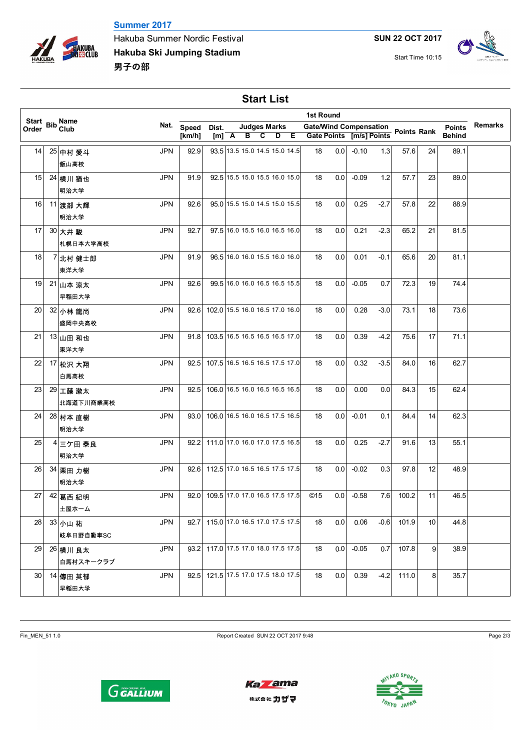



Hakuba Summer Nordic Festival **Hakuba Ski Jumping Stadium** 男子の部

**SUN 22 OCT 2017**

Start Time 10:15



**Start List**

| Start Bib Name<br>Order Bib Club<br><b>Remarks</b><br>Nat.<br><b>Judges Marks</b><br>Gate/Wind Compensation<br>Gate Points [m/s] Points Points Rank<br>Speed<br><b>Points</b><br>Dist.<br>Order<br>$\overline{c}$<br>$D$ E<br>$[m]$ $A$ $B$<br><b>Behind</b><br>[km/h]<br>93.5 13.5 15.0 14.5 15.0 14.5<br>0.0<br>$-0.10$<br><b>JPN</b><br>92.9<br>18<br>1.3<br>89.1<br>14<br>25 中村 愛斗<br>57.6<br>24<br>飯山高校<br>92.5 15.5 15.0 15.5 16.0 15.0<br>23<br><b>JPN</b><br>91.9<br>0.0<br>$-0.09$<br>1.2<br>57.7<br>89.0<br>15<br>18<br>24 横川 猶也<br>明治大学<br><b>JPN</b><br>92.6<br>95.0 15.5 15.0 14.5 15.0 15.5<br>0.25<br>$-2.7$<br>22<br>16<br>18<br>0.0<br>57.8<br>88.9<br>11 渡部 大輝<br>明治大学<br>97.5 16.0 15.5 16.0 16.5 16.0<br>0.21<br>$-2.3$<br>17<br><b>JPN</b><br>92.7<br>18<br>0.0<br>65.2<br>21<br>81.5<br>30 大井 駿<br>札幌日本大学高校<br>96.5 16.0 16.0 15.5 16.0 16.0<br>0.01<br>JPN<br>91.9<br>18<br>0.0<br>$-0.1$<br>65.6<br>20<br>81.1<br>18<br>7 北村 健士郎<br>東洋大学<br>99.5 16.0 16.0 16.5 16.5 15.5<br>$-0.05$<br>72.3<br>19<br>74.4<br>19<br><b>JPN</b><br>92.6<br>18<br>$0.0\,$<br>0.7<br>21 山本 涼太<br>早稲田大学<br>102.0 15.5 16.0 16.5 17.0 16.0<br>0.28<br><b>JPN</b><br>92.6<br>0.0<br>$-3.0$<br>73.1<br>18<br>73.6<br>20<br>18<br>32 小林龍尚<br>盛岡中央高校<br>103.5 16.5 16.5 16.5 16.5 17.0<br><b>JPN</b><br>0.39<br>$-4.2$<br>17<br>71.1<br>21<br>91.8<br>18<br>$0.0\,$<br>75.6<br>13 山田 和也<br>東洋大学<br>107.5 16.5 16.5 16.5 17.5 17.0<br><b>JPN</b><br>0.0<br>0.32<br>$-3.5$<br>16<br>62.7<br>22<br>92.5<br>18<br>84.0<br>17 松沢 大翔<br>白馬高校<br>106.0 16.5 16.0 16.5 16.5 16.5<br><b>JPN</b><br>92.5<br>0.0<br>0.00<br>15<br>23<br>18<br>0.0<br>84.3<br>62.4<br>29 工藤 漱太<br>北海道下川商業高校<br>106.0 16.5 16.0 16.5 17.5 16.5<br><b>JPN</b><br>0.0<br>$-0.01$<br>24<br>93.0<br>18<br>0.1<br>84.4<br>14<br>62.3<br>28 村本 直樹<br>明治大学<br>92.2 111.0 17.0 16.0 17.0 17.5 16.5<br><b>JPN</b><br>0.0<br>0.25<br>13<br>25<br>18<br>$-2.7$<br>91.6<br>55.1<br>4 三ケ田 泰良<br>明治大学<br>112.5 17.0 16.5 16.5 17.5 17.5<br><b>JPN</b><br>0.0<br>$-0.02$<br>12<br>26<br>92.6<br>18<br>0.3<br>97.8<br>48.9<br>34 栗田 力樹<br>明治大学<br>109.5 17.0 17.0 16.5 17.5 17.5<br>$-0.58$<br>100.2<br>11<br>27<br><b>JPN</b><br>©15<br>0.0<br>7.6<br>46.5<br>42 葛西紀明<br>92.0<br>土屋ホーム<br><b>JPN</b><br>115.0 17.0 16.5 17.0 17.5 17.5<br>28<br>92.7<br>18<br>0.0<br>0.06<br>$-0.6$<br>101.9<br>10<br>44.8<br>33 小山 祐<br><b> 岐阜日野自動車SC</b><br>117.0 17.5 17.0 18.0 17.5 17.5<br>29<br><b>JPN</b><br>18<br>0.0<br>$-0.05$<br>0.7<br>107.8<br>9<br>38.9<br>93.2<br>26 横川 良太<br>白馬村スキークラブ<br>121.5 17.5 17.0 17.5 18.0 17.5<br>30<br>JPN<br>92.5<br>18<br>0.0<br>0.39<br>$-4.2$<br>111.0<br>8<br>35.7<br>14 傳田 英郁<br>早稲田大学 | 1st Round |  |  |  |  |  |  |  |  |  |  |  |  |  |  |
|----------------------------------------------------------------------------------------------------------------------------------------------------------------------------------------------------------------------------------------------------------------------------------------------------------------------------------------------------------------------------------------------------------------------------------------------------------------------------------------------------------------------------------------------------------------------------------------------------------------------------------------------------------------------------------------------------------------------------------------------------------------------------------------------------------------------------------------------------------------------------------------------------------------------------------------------------------------------------------------------------------------------------------------------------------------------------------------------------------------------------------------------------------------------------------------------------------------------------------------------------------------------------------------------------------------------------------------------------------------------------------------------------------------------------------------------------------------------------------------------------------------------------------------------------------------------------------------------------------------------------------------------------------------------------------------------------------------------------------------------------------------------------------------------------------------------------------------------------------------------------------------------------------------------------------------------------------------------------------------------------------------------------------------------------------------------------------------------------------------------------------------------------------------------------------------------------------------------------------------------------------------------------------------------------------------------------------------------------------------------------------------------------------------------------------------------------------------------------------------------------------------------------------------------------------------------------------------------------------------------------------------------------------------------------|-----------|--|--|--|--|--|--|--|--|--|--|--|--|--|--|
|                                                                                                                                                                                                                                                                                                                                                                                                                                                                                                                                                                                                                                                                                                                                                                                                                                                                                                                                                                                                                                                                                                                                                                                                                                                                                                                                                                                                                                                                                                                                                                                                                                                                                                                                                                                                                                                                                                                                                                                                                                                                                                                                                                                                                                                                                                                                                                                                                                                                                                                                                                                                                                                                            |           |  |  |  |  |  |  |  |  |  |  |  |  |  |  |
|                                                                                                                                                                                                                                                                                                                                                                                                                                                                                                                                                                                                                                                                                                                                                                                                                                                                                                                                                                                                                                                                                                                                                                                                                                                                                                                                                                                                                                                                                                                                                                                                                                                                                                                                                                                                                                                                                                                                                                                                                                                                                                                                                                                                                                                                                                                                                                                                                                                                                                                                                                                                                                                                            |           |  |  |  |  |  |  |  |  |  |  |  |  |  |  |
|                                                                                                                                                                                                                                                                                                                                                                                                                                                                                                                                                                                                                                                                                                                                                                                                                                                                                                                                                                                                                                                                                                                                                                                                                                                                                                                                                                                                                                                                                                                                                                                                                                                                                                                                                                                                                                                                                                                                                                                                                                                                                                                                                                                                                                                                                                                                                                                                                                                                                                                                                                                                                                                                            |           |  |  |  |  |  |  |  |  |  |  |  |  |  |  |
|                                                                                                                                                                                                                                                                                                                                                                                                                                                                                                                                                                                                                                                                                                                                                                                                                                                                                                                                                                                                                                                                                                                                                                                                                                                                                                                                                                                                                                                                                                                                                                                                                                                                                                                                                                                                                                                                                                                                                                                                                                                                                                                                                                                                                                                                                                                                                                                                                                                                                                                                                                                                                                                                            |           |  |  |  |  |  |  |  |  |  |  |  |  |  |  |
|                                                                                                                                                                                                                                                                                                                                                                                                                                                                                                                                                                                                                                                                                                                                                                                                                                                                                                                                                                                                                                                                                                                                                                                                                                                                                                                                                                                                                                                                                                                                                                                                                                                                                                                                                                                                                                                                                                                                                                                                                                                                                                                                                                                                                                                                                                                                                                                                                                                                                                                                                                                                                                                                            |           |  |  |  |  |  |  |  |  |  |  |  |  |  |  |
|                                                                                                                                                                                                                                                                                                                                                                                                                                                                                                                                                                                                                                                                                                                                                                                                                                                                                                                                                                                                                                                                                                                                                                                                                                                                                                                                                                                                                                                                                                                                                                                                                                                                                                                                                                                                                                                                                                                                                                                                                                                                                                                                                                                                                                                                                                                                                                                                                                                                                                                                                                                                                                                                            |           |  |  |  |  |  |  |  |  |  |  |  |  |  |  |
|                                                                                                                                                                                                                                                                                                                                                                                                                                                                                                                                                                                                                                                                                                                                                                                                                                                                                                                                                                                                                                                                                                                                                                                                                                                                                                                                                                                                                                                                                                                                                                                                                                                                                                                                                                                                                                                                                                                                                                                                                                                                                                                                                                                                                                                                                                                                                                                                                                                                                                                                                                                                                                                                            |           |  |  |  |  |  |  |  |  |  |  |  |  |  |  |
|                                                                                                                                                                                                                                                                                                                                                                                                                                                                                                                                                                                                                                                                                                                                                                                                                                                                                                                                                                                                                                                                                                                                                                                                                                                                                                                                                                                                                                                                                                                                                                                                                                                                                                                                                                                                                                                                                                                                                                                                                                                                                                                                                                                                                                                                                                                                                                                                                                                                                                                                                                                                                                                                            |           |  |  |  |  |  |  |  |  |  |  |  |  |  |  |
|                                                                                                                                                                                                                                                                                                                                                                                                                                                                                                                                                                                                                                                                                                                                                                                                                                                                                                                                                                                                                                                                                                                                                                                                                                                                                                                                                                                                                                                                                                                                                                                                                                                                                                                                                                                                                                                                                                                                                                                                                                                                                                                                                                                                                                                                                                                                                                                                                                                                                                                                                                                                                                                                            |           |  |  |  |  |  |  |  |  |  |  |  |  |  |  |
|                                                                                                                                                                                                                                                                                                                                                                                                                                                                                                                                                                                                                                                                                                                                                                                                                                                                                                                                                                                                                                                                                                                                                                                                                                                                                                                                                                                                                                                                                                                                                                                                                                                                                                                                                                                                                                                                                                                                                                                                                                                                                                                                                                                                                                                                                                                                                                                                                                                                                                                                                                                                                                                                            |           |  |  |  |  |  |  |  |  |  |  |  |  |  |  |
|                                                                                                                                                                                                                                                                                                                                                                                                                                                                                                                                                                                                                                                                                                                                                                                                                                                                                                                                                                                                                                                                                                                                                                                                                                                                                                                                                                                                                                                                                                                                                                                                                                                                                                                                                                                                                                                                                                                                                                                                                                                                                                                                                                                                                                                                                                                                                                                                                                                                                                                                                                                                                                                                            |           |  |  |  |  |  |  |  |  |  |  |  |  |  |  |
|                                                                                                                                                                                                                                                                                                                                                                                                                                                                                                                                                                                                                                                                                                                                                                                                                                                                                                                                                                                                                                                                                                                                                                                                                                                                                                                                                                                                                                                                                                                                                                                                                                                                                                                                                                                                                                                                                                                                                                                                                                                                                                                                                                                                                                                                                                                                                                                                                                                                                                                                                                                                                                                                            |           |  |  |  |  |  |  |  |  |  |  |  |  |  |  |
|                                                                                                                                                                                                                                                                                                                                                                                                                                                                                                                                                                                                                                                                                                                                                                                                                                                                                                                                                                                                                                                                                                                                                                                                                                                                                                                                                                                                                                                                                                                                                                                                                                                                                                                                                                                                                                                                                                                                                                                                                                                                                                                                                                                                                                                                                                                                                                                                                                                                                                                                                                                                                                                                            |           |  |  |  |  |  |  |  |  |  |  |  |  |  |  |
|                                                                                                                                                                                                                                                                                                                                                                                                                                                                                                                                                                                                                                                                                                                                                                                                                                                                                                                                                                                                                                                                                                                                                                                                                                                                                                                                                                                                                                                                                                                                                                                                                                                                                                                                                                                                                                                                                                                                                                                                                                                                                                                                                                                                                                                                                                                                                                                                                                                                                                                                                                                                                                                                            |           |  |  |  |  |  |  |  |  |  |  |  |  |  |  |
|                                                                                                                                                                                                                                                                                                                                                                                                                                                                                                                                                                                                                                                                                                                                                                                                                                                                                                                                                                                                                                                                                                                                                                                                                                                                                                                                                                                                                                                                                                                                                                                                                                                                                                                                                                                                                                                                                                                                                                                                                                                                                                                                                                                                                                                                                                                                                                                                                                                                                                                                                                                                                                                                            |           |  |  |  |  |  |  |  |  |  |  |  |  |  |  |
|                                                                                                                                                                                                                                                                                                                                                                                                                                                                                                                                                                                                                                                                                                                                                                                                                                                                                                                                                                                                                                                                                                                                                                                                                                                                                                                                                                                                                                                                                                                                                                                                                                                                                                                                                                                                                                                                                                                                                                                                                                                                                                                                                                                                                                                                                                                                                                                                                                                                                                                                                                                                                                                                            |           |  |  |  |  |  |  |  |  |  |  |  |  |  |  |
|                                                                                                                                                                                                                                                                                                                                                                                                                                                                                                                                                                                                                                                                                                                                                                                                                                                                                                                                                                                                                                                                                                                                                                                                                                                                                                                                                                                                                                                                                                                                                                                                                                                                                                                                                                                                                                                                                                                                                                                                                                                                                                                                                                                                                                                                                                                                                                                                                                                                                                                                                                                                                                                                            |           |  |  |  |  |  |  |  |  |  |  |  |  |  |  |
|                                                                                                                                                                                                                                                                                                                                                                                                                                                                                                                                                                                                                                                                                                                                                                                                                                                                                                                                                                                                                                                                                                                                                                                                                                                                                                                                                                                                                                                                                                                                                                                                                                                                                                                                                                                                                                                                                                                                                                                                                                                                                                                                                                                                                                                                                                                                                                                                                                                                                                                                                                                                                                                                            |           |  |  |  |  |  |  |  |  |  |  |  |  |  |  |
|                                                                                                                                                                                                                                                                                                                                                                                                                                                                                                                                                                                                                                                                                                                                                                                                                                                                                                                                                                                                                                                                                                                                                                                                                                                                                                                                                                                                                                                                                                                                                                                                                                                                                                                                                                                                                                                                                                                                                                                                                                                                                                                                                                                                                                                                                                                                                                                                                                                                                                                                                                                                                                                                            |           |  |  |  |  |  |  |  |  |  |  |  |  |  |  |
|                                                                                                                                                                                                                                                                                                                                                                                                                                                                                                                                                                                                                                                                                                                                                                                                                                                                                                                                                                                                                                                                                                                                                                                                                                                                                                                                                                                                                                                                                                                                                                                                                                                                                                                                                                                                                                                                                                                                                                                                                                                                                                                                                                                                                                                                                                                                                                                                                                                                                                                                                                                                                                                                            |           |  |  |  |  |  |  |  |  |  |  |  |  |  |  |
|                                                                                                                                                                                                                                                                                                                                                                                                                                                                                                                                                                                                                                                                                                                                                                                                                                                                                                                                                                                                                                                                                                                                                                                                                                                                                                                                                                                                                                                                                                                                                                                                                                                                                                                                                                                                                                                                                                                                                                                                                                                                                                                                                                                                                                                                                                                                                                                                                                                                                                                                                                                                                                                                            |           |  |  |  |  |  |  |  |  |  |  |  |  |  |  |
|                                                                                                                                                                                                                                                                                                                                                                                                                                                                                                                                                                                                                                                                                                                                                                                                                                                                                                                                                                                                                                                                                                                                                                                                                                                                                                                                                                                                                                                                                                                                                                                                                                                                                                                                                                                                                                                                                                                                                                                                                                                                                                                                                                                                                                                                                                                                                                                                                                                                                                                                                                                                                                                                            |           |  |  |  |  |  |  |  |  |  |  |  |  |  |  |
|                                                                                                                                                                                                                                                                                                                                                                                                                                                                                                                                                                                                                                                                                                                                                                                                                                                                                                                                                                                                                                                                                                                                                                                                                                                                                                                                                                                                                                                                                                                                                                                                                                                                                                                                                                                                                                                                                                                                                                                                                                                                                                                                                                                                                                                                                                                                                                                                                                                                                                                                                                                                                                                                            |           |  |  |  |  |  |  |  |  |  |  |  |  |  |  |
|                                                                                                                                                                                                                                                                                                                                                                                                                                                                                                                                                                                                                                                                                                                                                                                                                                                                                                                                                                                                                                                                                                                                                                                                                                                                                                                                                                                                                                                                                                                                                                                                                                                                                                                                                                                                                                                                                                                                                                                                                                                                                                                                                                                                                                                                                                                                                                                                                                                                                                                                                                                                                                                                            |           |  |  |  |  |  |  |  |  |  |  |  |  |  |  |
|                                                                                                                                                                                                                                                                                                                                                                                                                                                                                                                                                                                                                                                                                                                                                                                                                                                                                                                                                                                                                                                                                                                                                                                                                                                                                                                                                                                                                                                                                                                                                                                                                                                                                                                                                                                                                                                                                                                                                                                                                                                                                                                                                                                                                                                                                                                                                                                                                                                                                                                                                                                                                                                                            |           |  |  |  |  |  |  |  |  |  |  |  |  |  |  |
|                                                                                                                                                                                                                                                                                                                                                                                                                                                                                                                                                                                                                                                                                                                                                                                                                                                                                                                                                                                                                                                                                                                                                                                                                                                                                                                                                                                                                                                                                                                                                                                                                                                                                                                                                                                                                                                                                                                                                                                                                                                                                                                                                                                                                                                                                                                                                                                                                                                                                                                                                                                                                                                                            |           |  |  |  |  |  |  |  |  |  |  |  |  |  |  |
|                                                                                                                                                                                                                                                                                                                                                                                                                                                                                                                                                                                                                                                                                                                                                                                                                                                                                                                                                                                                                                                                                                                                                                                                                                                                                                                                                                                                                                                                                                                                                                                                                                                                                                                                                                                                                                                                                                                                                                                                                                                                                                                                                                                                                                                                                                                                                                                                                                                                                                                                                                                                                                                                            |           |  |  |  |  |  |  |  |  |  |  |  |  |  |  |
|                                                                                                                                                                                                                                                                                                                                                                                                                                                                                                                                                                                                                                                                                                                                                                                                                                                                                                                                                                                                                                                                                                                                                                                                                                                                                                                                                                                                                                                                                                                                                                                                                                                                                                                                                                                                                                                                                                                                                                                                                                                                                                                                                                                                                                                                                                                                                                                                                                                                                                                                                                                                                                                                            |           |  |  |  |  |  |  |  |  |  |  |  |  |  |  |
|                                                                                                                                                                                                                                                                                                                                                                                                                                                                                                                                                                                                                                                                                                                                                                                                                                                                                                                                                                                                                                                                                                                                                                                                                                                                                                                                                                                                                                                                                                                                                                                                                                                                                                                                                                                                                                                                                                                                                                                                                                                                                                                                                                                                                                                                                                                                                                                                                                                                                                                                                                                                                                                                            |           |  |  |  |  |  |  |  |  |  |  |  |  |  |  |
|                                                                                                                                                                                                                                                                                                                                                                                                                                                                                                                                                                                                                                                                                                                                                                                                                                                                                                                                                                                                                                                                                                                                                                                                                                                                                                                                                                                                                                                                                                                                                                                                                                                                                                                                                                                                                                                                                                                                                                                                                                                                                                                                                                                                                                                                                                                                                                                                                                                                                                                                                                                                                                                                            |           |  |  |  |  |  |  |  |  |  |  |  |  |  |  |
|                                                                                                                                                                                                                                                                                                                                                                                                                                                                                                                                                                                                                                                                                                                                                                                                                                                                                                                                                                                                                                                                                                                                                                                                                                                                                                                                                                                                                                                                                                                                                                                                                                                                                                                                                                                                                                                                                                                                                                                                                                                                                                                                                                                                                                                                                                                                                                                                                                                                                                                                                                                                                                                                            |           |  |  |  |  |  |  |  |  |  |  |  |  |  |  |
|                                                                                                                                                                                                                                                                                                                                                                                                                                                                                                                                                                                                                                                                                                                                                                                                                                                                                                                                                                                                                                                                                                                                                                                                                                                                                                                                                                                                                                                                                                                                                                                                                                                                                                                                                                                                                                                                                                                                                                                                                                                                                                                                                                                                                                                                                                                                                                                                                                                                                                                                                                                                                                                                            |           |  |  |  |  |  |  |  |  |  |  |  |  |  |  |
|                                                                                                                                                                                                                                                                                                                                                                                                                                                                                                                                                                                                                                                                                                                                                                                                                                                                                                                                                                                                                                                                                                                                                                                                                                                                                                                                                                                                                                                                                                                                                                                                                                                                                                                                                                                                                                                                                                                                                                                                                                                                                                                                                                                                                                                                                                                                                                                                                                                                                                                                                                                                                                                                            |           |  |  |  |  |  |  |  |  |  |  |  |  |  |  |
|                                                                                                                                                                                                                                                                                                                                                                                                                                                                                                                                                                                                                                                                                                                                                                                                                                                                                                                                                                                                                                                                                                                                                                                                                                                                                                                                                                                                                                                                                                                                                                                                                                                                                                                                                                                                                                                                                                                                                                                                                                                                                                                                                                                                                                                                                                                                                                                                                                                                                                                                                                                                                                                                            |           |  |  |  |  |  |  |  |  |  |  |  |  |  |  |
|                                                                                                                                                                                                                                                                                                                                                                                                                                                                                                                                                                                                                                                                                                                                                                                                                                                                                                                                                                                                                                                                                                                                                                                                                                                                                                                                                                                                                                                                                                                                                                                                                                                                                                                                                                                                                                                                                                                                                                                                                                                                                                                                                                                                                                                                                                                                                                                                                                                                                                                                                                                                                                                                            |           |  |  |  |  |  |  |  |  |  |  |  |  |  |  |
|                                                                                                                                                                                                                                                                                                                                                                                                                                                                                                                                                                                                                                                                                                                                                                                                                                                                                                                                                                                                                                                                                                                                                                                                                                                                                                                                                                                                                                                                                                                                                                                                                                                                                                                                                                                                                                                                                                                                                                                                                                                                                                                                                                                                                                                                                                                                                                                                                                                                                                                                                                                                                                                                            |           |  |  |  |  |  |  |  |  |  |  |  |  |  |  |

Fin\_MEN\_51 1.0 Report Created SUN 22 OCT 2017 9:48 Page 2/3